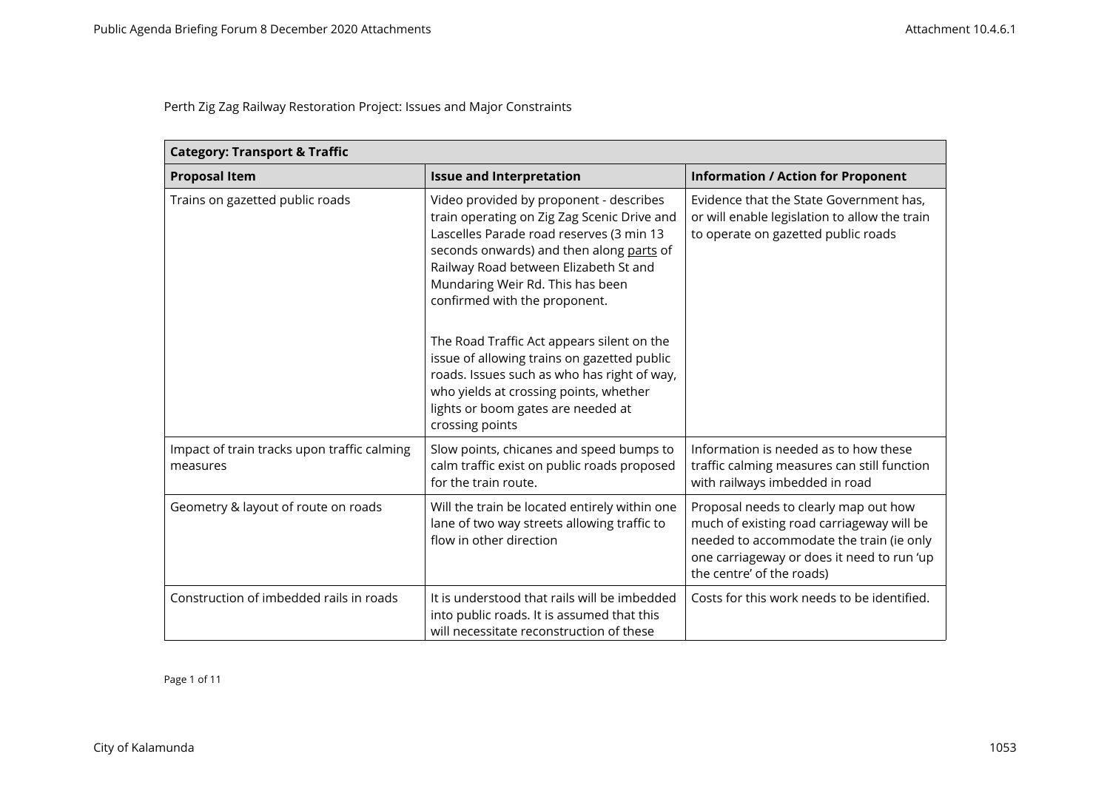| <b>Category: Transport &amp; Traffic</b>                |                                                                                                                                                                                                                                                                                                                                                                                                                                                                                                                                             |                                                                                                                                                                                                           |
|---------------------------------------------------------|---------------------------------------------------------------------------------------------------------------------------------------------------------------------------------------------------------------------------------------------------------------------------------------------------------------------------------------------------------------------------------------------------------------------------------------------------------------------------------------------------------------------------------------------|-----------------------------------------------------------------------------------------------------------------------------------------------------------------------------------------------------------|
| <b>Proposal Item</b>                                    | <b>Issue and Interpretation</b>                                                                                                                                                                                                                                                                                                                                                                                                                                                                                                             | <b>Information / Action for Proponent</b>                                                                                                                                                                 |
| Trains on gazetted public roads                         | Video provided by proponent - describes<br>train operating on Zig Zag Scenic Drive and<br>Lascelles Parade road reserves (3 min 13<br>seconds onwards) and then along parts of<br>Railway Road between Elizabeth St and<br>Mundaring Weir Rd. This has been<br>confirmed with the proponent.<br>The Road Traffic Act appears silent on the<br>issue of allowing trains on gazetted public<br>roads. Issues such as who has right of way,<br>who yields at crossing points, whether<br>lights or boom gates are needed at<br>crossing points | Evidence that the State Government has,<br>or will enable legislation to allow the train<br>to operate on gazetted public roads                                                                           |
| Impact of train tracks upon traffic calming<br>measures | Slow points, chicanes and speed bumps to<br>calm traffic exist on public roads proposed<br>for the train route.                                                                                                                                                                                                                                                                                                                                                                                                                             | Information is needed as to how these<br>traffic calming measures can still function<br>with railways imbedded in road                                                                                    |
| Geometry & layout of route on roads                     | Will the train be located entirely within one<br>lane of two way streets allowing traffic to<br>flow in other direction                                                                                                                                                                                                                                                                                                                                                                                                                     | Proposal needs to clearly map out how<br>much of existing road carriageway will be<br>needed to accommodate the train (ie only<br>one carriageway or does it need to run 'up<br>the centre' of the roads) |
| Construction of imbedded rails in roads                 | It is understood that rails will be imbedded<br>into public roads. It is assumed that this<br>will necessitate reconstruction of these                                                                                                                                                                                                                                                                                                                                                                                                      | Costs for this work needs to be identified.                                                                                                                                                               |

Page 1 of 11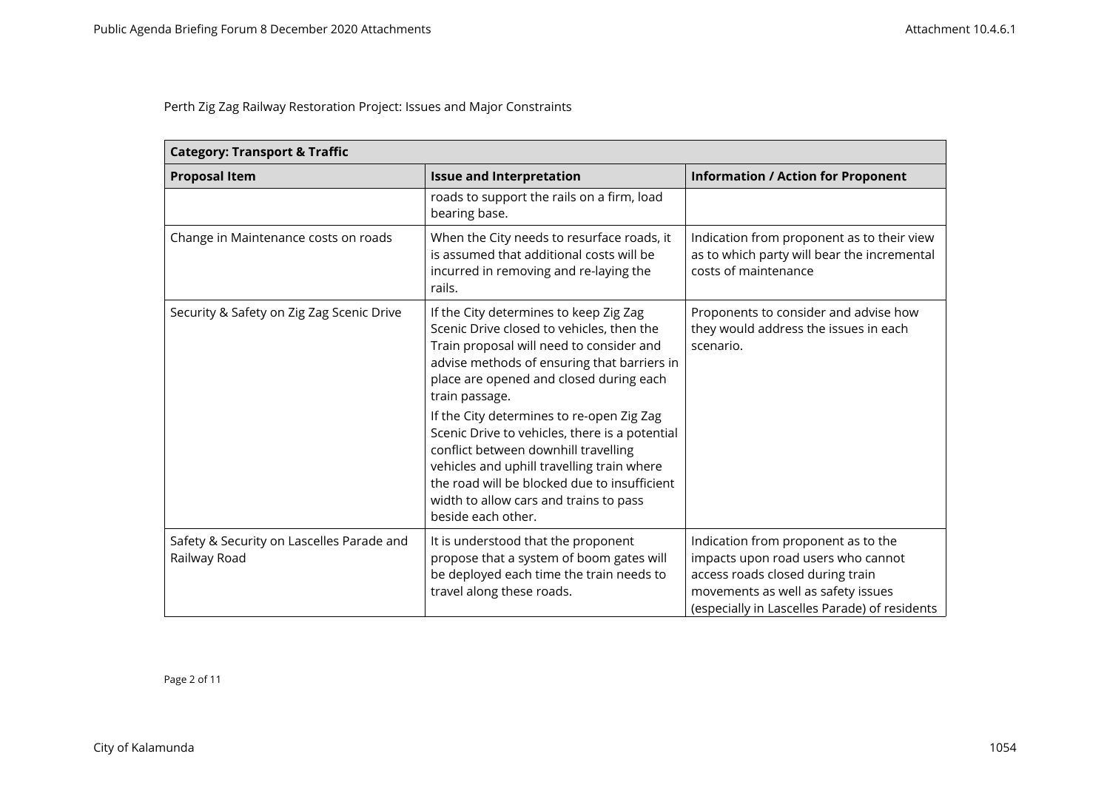| <b>Category: Transport &amp; Traffic</b>                  |                                                                                                                                                                                                                                                                                                                                                                                                                                                                                                                                                  |                                                                                                                                                                                                      |
|-----------------------------------------------------------|--------------------------------------------------------------------------------------------------------------------------------------------------------------------------------------------------------------------------------------------------------------------------------------------------------------------------------------------------------------------------------------------------------------------------------------------------------------------------------------------------------------------------------------------------|------------------------------------------------------------------------------------------------------------------------------------------------------------------------------------------------------|
| <b>Proposal Item</b>                                      | <b>Issue and Interpretation</b>                                                                                                                                                                                                                                                                                                                                                                                                                                                                                                                  | <b>Information / Action for Proponent</b>                                                                                                                                                            |
|                                                           | roads to support the rails on a firm, load<br>bearing base.                                                                                                                                                                                                                                                                                                                                                                                                                                                                                      |                                                                                                                                                                                                      |
| Change in Maintenance costs on roads                      | When the City needs to resurface roads, it<br>is assumed that additional costs will be<br>incurred in removing and re-laying the<br>rails.                                                                                                                                                                                                                                                                                                                                                                                                       | Indication from proponent as to their view<br>as to which party will bear the incremental<br>costs of maintenance                                                                                    |
| Security & Safety on Zig Zag Scenic Drive                 | If the City determines to keep Zig Zag<br>Scenic Drive closed to vehicles, then the<br>Train proposal will need to consider and<br>advise methods of ensuring that barriers in<br>place are opened and closed during each<br>train passage.<br>If the City determines to re-open Zig Zag<br>Scenic Drive to vehicles, there is a potential<br>conflict between downhill travelling<br>vehicles and uphill travelling train where<br>the road will be blocked due to insufficient<br>width to allow cars and trains to pass<br>beside each other. | Proponents to consider and advise how<br>they would address the issues in each<br>scenario.                                                                                                          |
| Safety & Security on Lascelles Parade and<br>Railway Road | It is understood that the proponent<br>propose that a system of boom gates will<br>be deployed each time the train needs to<br>travel along these roads.                                                                                                                                                                                                                                                                                                                                                                                         | Indication from proponent as to the<br>impacts upon road users who cannot<br>access roads closed during train<br>movements as well as safety issues<br>(especially in Lascelles Parade) of residents |

Page 2 of 11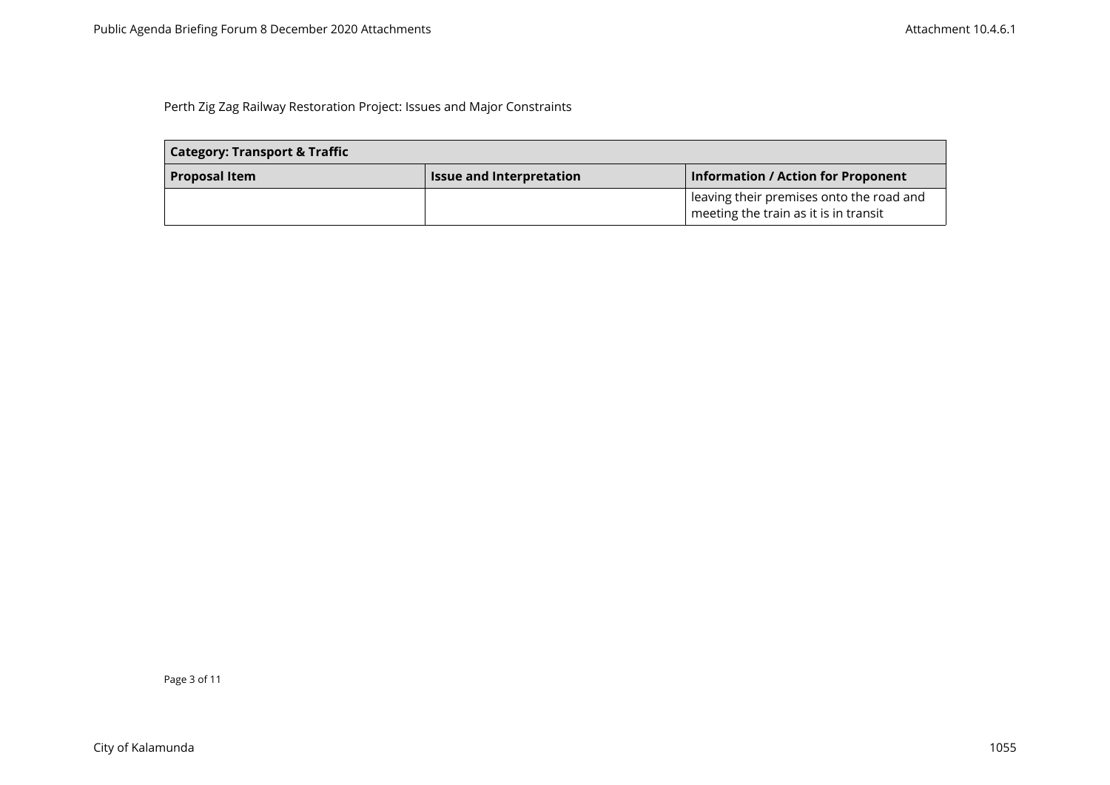| <b>Category: Transport &amp; Traffic</b> |                                 |                                                                                   |
|------------------------------------------|---------------------------------|-----------------------------------------------------------------------------------|
| <b>Proposal Item</b>                     | <b>Issue and Interpretation</b> | <b>Information / Action for Proponent</b>                                         |
|                                          |                                 | leaving their premises onto the road and<br>meeting the train as it is in transit |

Page 3 of 11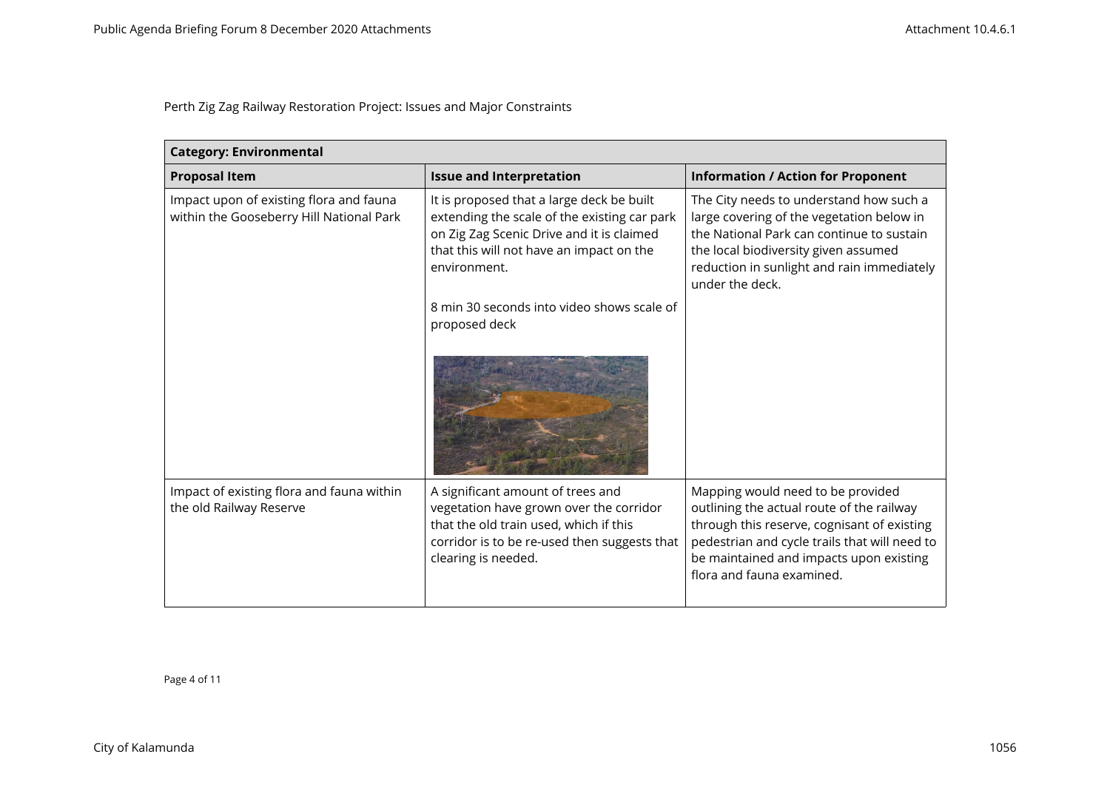| <b>Category: Environmental</b>                                                      |                                                                                                                                                                                                    |                                                                                                                                                                                                                                                        |
|-------------------------------------------------------------------------------------|----------------------------------------------------------------------------------------------------------------------------------------------------------------------------------------------------|--------------------------------------------------------------------------------------------------------------------------------------------------------------------------------------------------------------------------------------------------------|
| <b>Proposal Item</b>                                                                | <b>Issue and Interpretation</b>                                                                                                                                                                    | <b>Information / Action for Proponent</b>                                                                                                                                                                                                              |
| Impact upon of existing flora and fauna<br>within the Gooseberry Hill National Park | It is proposed that a large deck be built<br>extending the scale of the existing car park<br>on Zig Zag Scenic Drive and it is claimed<br>that this will not have an impact on the<br>environment. | The City needs to understand how such a<br>large covering of the vegetation below in<br>the National Park can continue to sustain<br>the local biodiversity given assumed<br>reduction in sunlight and rain immediately<br>under the deck.             |
|                                                                                     | 8 min 30 seconds into video shows scale of<br>proposed deck                                                                                                                                        |                                                                                                                                                                                                                                                        |
|                                                                                     |                                                                                                                                                                                                    |                                                                                                                                                                                                                                                        |
| Impact of existing flora and fauna within<br>the old Railway Reserve                | A significant amount of trees and<br>vegetation have grown over the corridor<br>that the old train used, which if this<br>corridor is to be re-used then suggests that<br>clearing is needed.      | Mapping would need to be provided<br>outlining the actual route of the railway<br>through this reserve, cognisant of existing<br>pedestrian and cycle trails that will need to<br>be maintained and impacts upon existing<br>flora and fauna examined. |

Page 4 of 11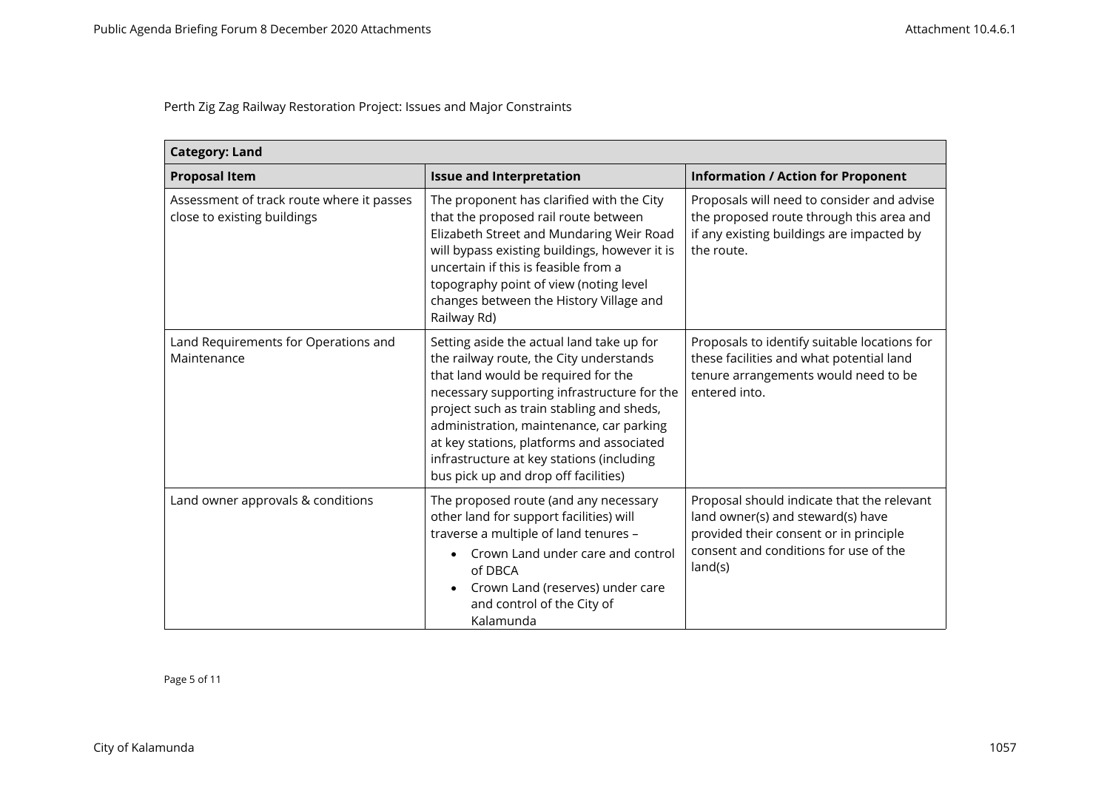| <b>Category: Land</b>                                                    |                                                                                                                                                                                                                                                                                                                                                                                                       |                                                                                                                                                                               |
|--------------------------------------------------------------------------|-------------------------------------------------------------------------------------------------------------------------------------------------------------------------------------------------------------------------------------------------------------------------------------------------------------------------------------------------------------------------------------------------------|-------------------------------------------------------------------------------------------------------------------------------------------------------------------------------|
| <b>Proposal Item</b>                                                     | <b>Issue and Interpretation</b>                                                                                                                                                                                                                                                                                                                                                                       | <b>Information / Action for Proponent</b>                                                                                                                                     |
| Assessment of track route where it passes<br>close to existing buildings | The proponent has clarified with the City<br>that the proposed rail route between<br>Elizabeth Street and Mundaring Weir Road<br>will bypass existing buildings, however it is<br>uncertain if this is feasible from a<br>topography point of view (noting level<br>changes between the History Village and<br>Railway Rd)                                                                            | Proposals will need to consider and advise<br>the proposed route through this area and<br>if any existing buildings are impacted by<br>the route.                             |
| Land Requirements for Operations and<br>Maintenance                      | Setting aside the actual land take up for<br>the railway route, the City understands<br>that land would be required for the<br>necessary supporting infrastructure for the<br>project such as train stabling and sheds,<br>administration, maintenance, car parking<br>at key stations, platforms and associated<br>infrastructure at key stations (including<br>bus pick up and drop off facilities) | Proposals to identify suitable locations for<br>these facilities and what potential land<br>tenure arrangements would need to be<br>entered into.                             |
| Land owner approvals & conditions                                        | The proposed route (and any necessary<br>other land for support facilities) will<br>traverse a multiple of land tenures -<br>Crown Land under care and control<br>of DBCA<br>Crown Land (reserves) under care<br>and control of the City of<br>Kalamunda                                                                                                                                              | Proposal should indicate that the relevant<br>land owner(s) and steward(s) have<br>provided their consent or in principle<br>consent and conditions for use of the<br>land(s) |

Page 5 of 11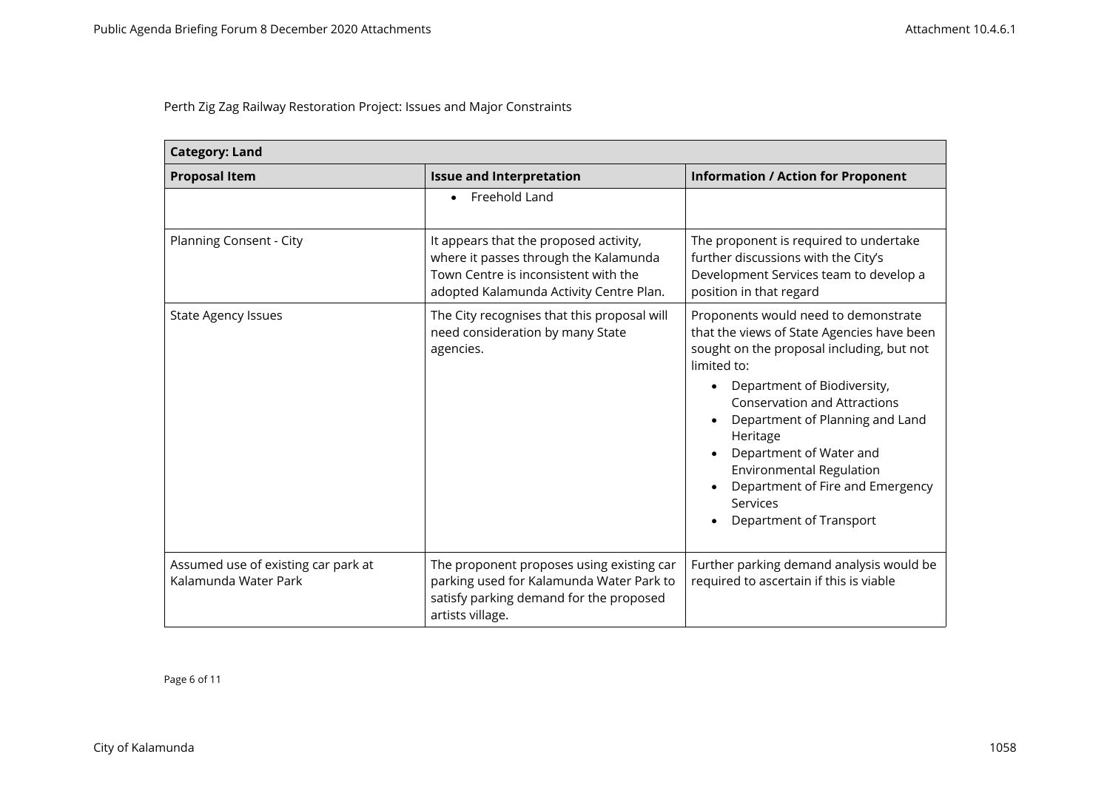| <b>Category: Land</b>                                       |                                                                                                                                                                    |                                                                                                                                                                                                                                                                                                                                                                                                                                              |
|-------------------------------------------------------------|--------------------------------------------------------------------------------------------------------------------------------------------------------------------|----------------------------------------------------------------------------------------------------------------------------------------------------------------------------------------------------------------------------------------------------------------------------------------------------------------------------------------------------------------------------------------------------------------------------------------------|
| <b>Proposal Item</b>                                        | <b>Issue and Interpretation</b>                                                                                                                                    | <b>Information / Action for Proponent</b>                                                                                                                                                                                                                                                                                                                                                                                                    |
|                                                             | Freehold Land                                                                                                                                                      |                                                                                                                                                                                                                                                                                                                                                                                                                                              |
| Planning Consent - City                                     | It appears that the proposed activity,<br>where it passes through the Kalamunda<br>Town Centre is inconsistent with the<br>adopted Kalamunda Activity Centre Plan. | The proponent is required to undertake<br>further discussions with the City's<br>Development Services team to develop a<br>position in that regard                                                                                                                                                                                                                                                                                           |
| <b>State Agency Issues</b>                                  | The City recognises that this proposal will<br>need consideration by many State<br>agencies.                                                                       | Proponents would need to demonstrate<br>that the views of State Agencies have been<br>sought on the proposal including, but not<br>limited to:<br>Department of Biodiversity,<br><b>Conservation and Attractions</b><br>Department of Planning and Land<br>Heritage<br>Department of Water and<br>$\bullet$<br>Environmental Regulation<br>Department of Fire and Emergency<br>$\bullet$<br>Services<br>Department of Transport<br>$\bullet$ |
| Assumed use of existing car park at<br>Kalamunda Water Park | The proponent proposes using existing car<br>parking used for Kalamunda Water Park to<br>satisfy parking demand for the proposed<br>artists village.               | Further parking demand analysis would be<br>required to ascertain if this is viable                                                                                                                                                                                                                                                                                                                                                          |

Page 6 of 11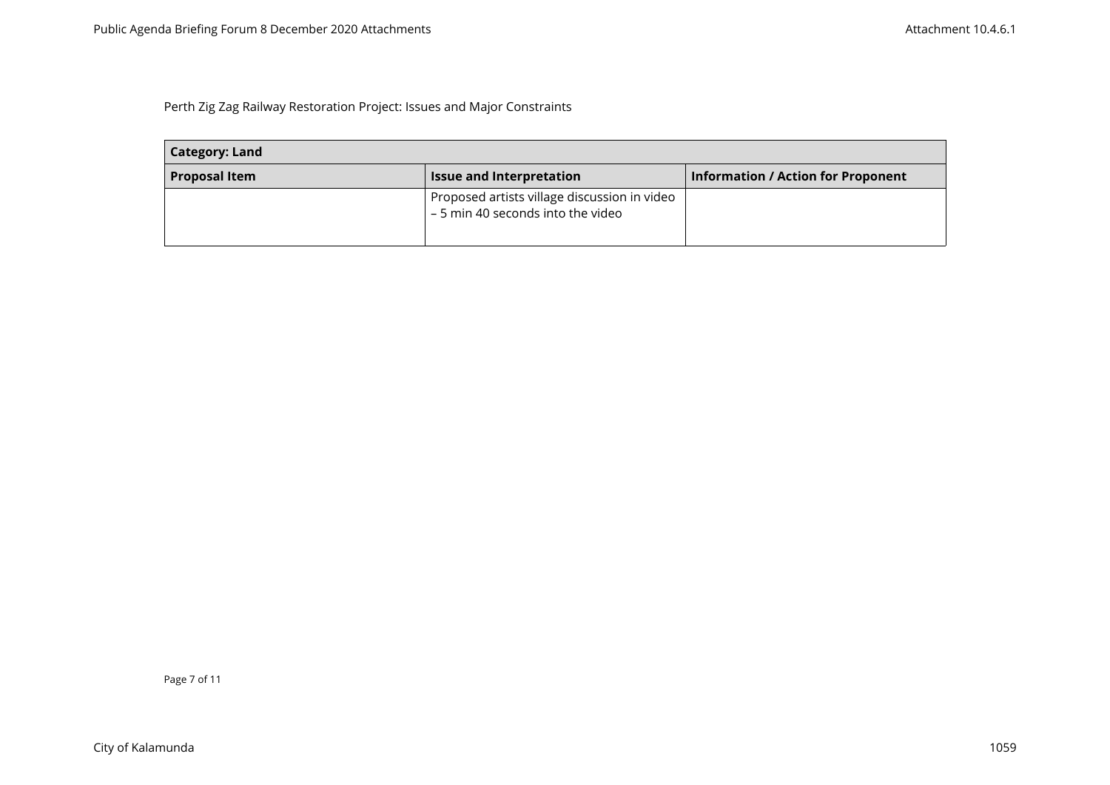| <b>Category: Land</b> |                                                                                   |                                           |
|-----------------------|-----------------------------------------------------------------------------------|-------------------------------------------|
| <b>Proposal Item</b>  | <b>Issue and Interpretation</b>                                                   | <b>Information / Action for Proponent</b> |
|                       | Proposed artists village discussion in video<br>- 5 min 40 seconds into the video |                                           |

Page 7 of 11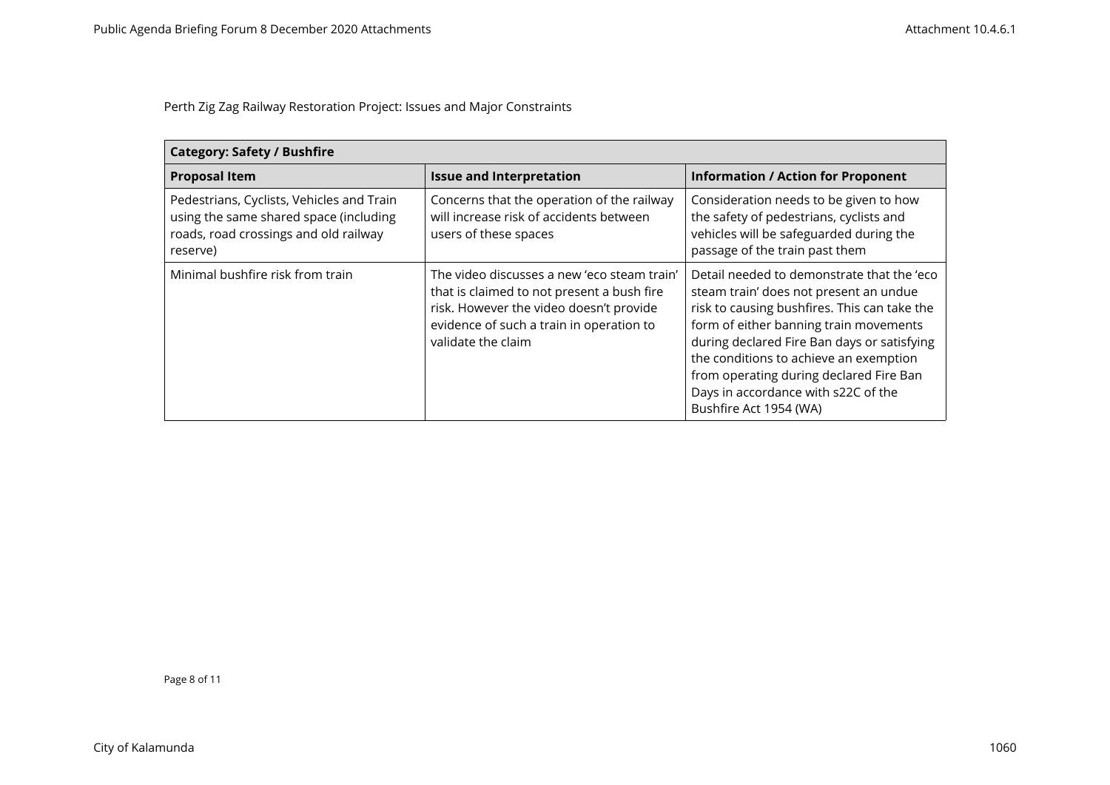| <b>Category: Safety / Bushfire</b>                                                                                                       |                                                                                                                                                                                                        |                                                                                                                                                                                                                                                                                                                                                                                     |
|------------------------------------------------------------------------------------------------------------------------------------------|--------------------------------------------------------------------------------------------------------------------------------------------------------------------------------------------------------|-------------------------------------------------------------------------------------------------------------------------------------------------------------------------------------------------------------------------------------------------------------------------------------------------------------------------------------------------------------------------------------|
| <b>Proposal Item</b>                                                                                                                     | <b>Issue and Interpretation</b>                                                                                                                                                                        | <b>Information / Action for Proponent</b>                                                                                                                                                                                                                                                                                                                                           |
| Pedestrians, Cyclists, Vehicles and Train<br>using the same shared space (including<br>roads, road crossings and old railway<br>reserve) | Concerns that the operation of the railway<br>will increase risk of accidents between<br>users of these spaces                                                                                         | Consideration needs to be given to how<br>the safety of pedestrians, cyclists and<br>vehicles will be safeguarded during the<br>passage of the train past them                                                                                                                                                                                                                      |
| Minimal bushfire risk from train                                                                                                         | The video discusses a new 'eco steam train'<br>that is claimed to not present a bush fire<br>risk. However the video doesn't provide<br>evidence of such a train in operation to<br>validate the claim | Detail needed to demonstrate that the 'eco<br>steam train' does not present an undue<br>risk to causing bushfires. This can take the<br>form of either banning train movements<br>during declared Fire Ban days or satisfying<br>the conditions to achieve an exemption<br>from operating during declared Fire Ban<br>Days in accordance with s22C of the<br>Bushfire Act 1954 (WA) |

Page 8 of 11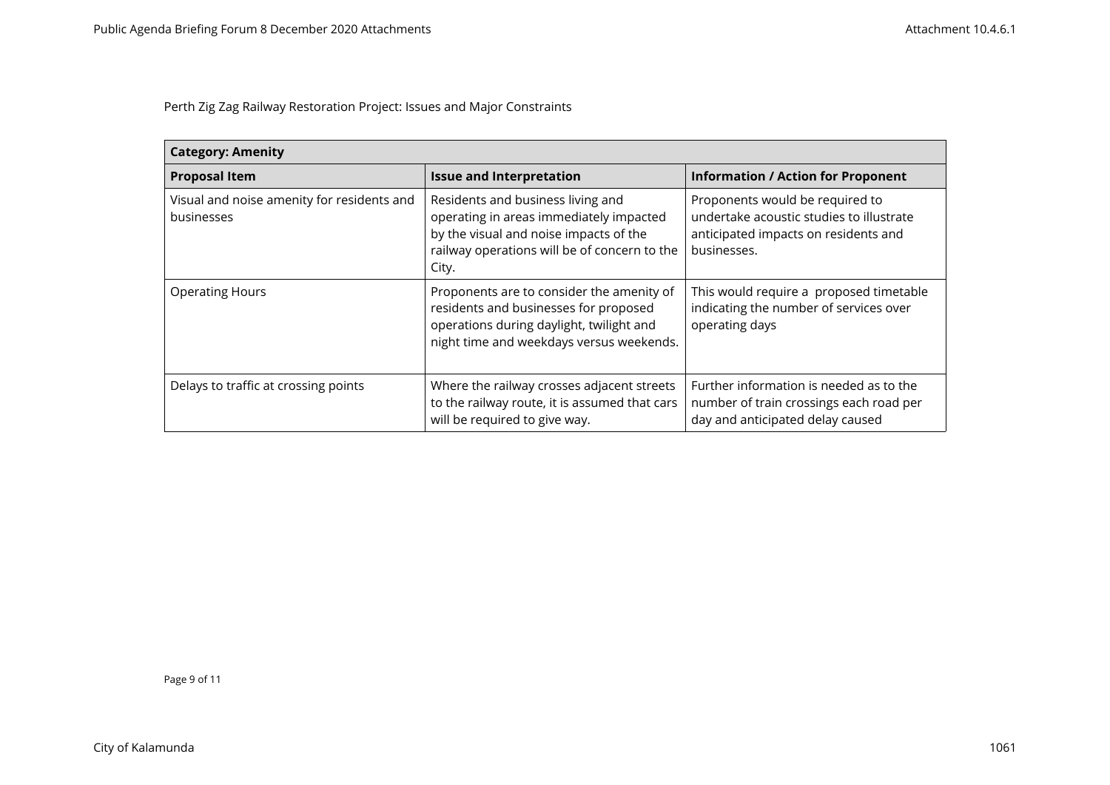| <b>Category: Amenity</b>                                 |                                                                                                                                                                                 |                                                                                                                                    |
|----------------------------------------------------------|---------------------------------------------------------------------------------------------------------------------------------------------------------------------------------|------------------------------------------------------------------------------------------------------------------------------------|
| <b>Proposal Item</b>                                     | <b>Issue and Interpretation</b>                                                                                                                                                 | <b>Information / Action for Proponent</b>                                                                                          |
| Visual and noise amenity for residents and<br>businesses | Residents and business living and<br>operating in areas immediately impacted<br>by the visual and noise impacts of the<br>railway operations will be of concern to the<br>City. | Proponents would be required to<br>undertake acoustic studies to illustrate<br>anticipated impacts on residents and<br>businesses. |
| <b>Operating Hours</b>                                   | Proponents are to consider the amenity of<br>residents and businesses for proposed<br>operations during daylight, twilight and<br>night time and weekdays versus weekends.      | This would require a proposed timetable<br>indicating the number of services over<br>operating days                                |
| Delays to traffic at crossing points                     | Where the railway crosses adjacent streets<br>to the railway route, it is assumed that cars<br>will be required to give way.                                                    | Further information is needed as to the<br>number of train crossings each road per<br>day and anticipated delay caused             |

Page 9 of 11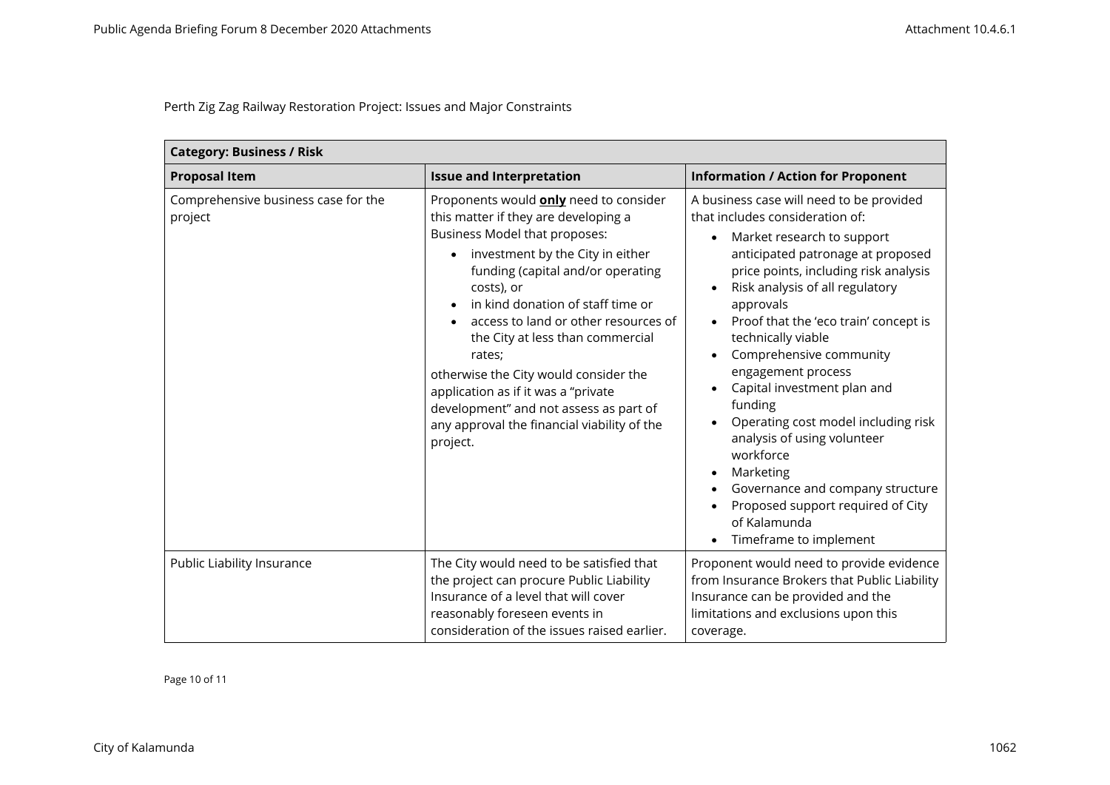| <b>Category: Business / Risk</b>               |                                                                                                                                                                                                                                                                                                                                                                                                                                                                                                                               |                                                                                                                                                                                                                                                                                                                                                                                                                                                                                                                                                                                                                                                                                                                           |
|------------------------------------------------|-------------------------------------------------------------------------------------------------------------------------------------------------------------------------------------------------------------------------------------------------------------------------------------------------------------------------------------------------------------------------------------------------------------------------------------------------------------------------------------------------------------------------------|---------------------------------------------------------------------------------------------------------------------------------------------------------------------------------------------------------------------------------------------------------------------------------------------------------------------------------------------------------------------------------------------------------------------------------------------------------------------------------------------------------------------------------------------------------------------------------------------------------------------------------------------------------------------------------------------------------------------------|
| <b>Proposal Item</b>                           | <b>Issue and Interpretation</b>                                                                                                                                                                                                                                                                                                                                                                                                                                                                                               | <b>Information / Action for Proponent</b>                                                                                                                                                                                                                                                                                                                                                                                                                                                                                                                                                                                                                                                                                 |
| Comprehensive business case for the<br>project | Proponents would <b>only</b> need to consider<br>this matter if they are developing a<br>Business Model that proposes:<br>investment by the City in either<br>funding (capital and/or operating<br>costs), or<br>in kind donation of staff time or<br>access to land or other resources of<br>the City at less than commercial<br>rates;<br>otherwise the City would consider the<br>application as if it was a "private<br>development" and not assess as part of<br>any approval the financial viability of the<br>project. | A business case will need to be provided<br>that includes consideration of:<br>Market research to support<br>$\bullet$<br>anticipated patronage at proposed<br>price points, including risk analysis<br>Risk analysis of all regulatory<br>$\bullet$<br>approvals<br>Proof that the 'eco train' concept is<br>$\bullet$<br>technically viable<br>Comprehensive community<br>$\bullet$<br>engagement process<br>Capital investment plan and<br>$\bullet$<br>funding<br>Operating cost model including risk<br>٠<br>analysis of using volunteer<br>workforce<br>Marketing<br>$\bullet$<br>Governance and company structure<br>٠<br>Proposed support required of City<br>of Kalamunda<br>Timeframe to implement<br>$\bullet$ |
| Public Liability Insurance                     | The City would need to be satisfied that<br>the project can procure Public Liability<br>Insurance of a level that will cover<br>reasonably foreseen events in<br>consideration of the issues raised earlier.                                                                                                                                                                                                                                                                                                                  | Proponent would need to provide evidence<br>from Insurance Brokers that Public Liability<br>Insurance can be provided and the<br>limitations and exclusions upon this<br>coverage.                                                                                                                                                                                                                                                                                                                                                                                                                                                                                                                                        |

Page 10 of 11